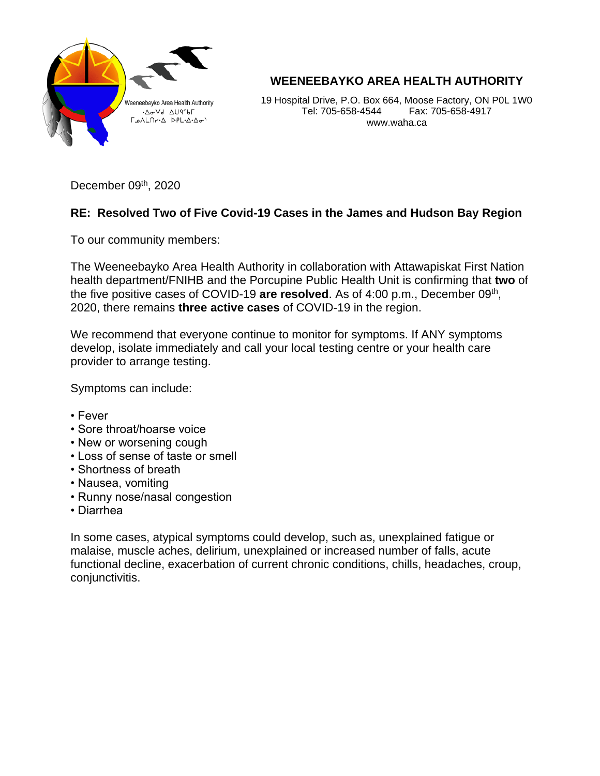

**WEENEEBAYKO AREA HEALTH AUTHORITY**

19 Hospital Drive, P.O. Box 664, Moose Factory, ON P0L 1W0 Tel: 705-658-4544 Fax: 705-658-4917 www.waha.ca

December 09<sup>th</sup>, 2020

## **RE: Resolved Two of Five Covid-19 Cases in the James and Hudson Bay Region**

To our community members:

The Weeneebayko Area Health Authority in collaboration with Attawapiskat First Nation health department/FNIHB and the Porcupine Public Health Unit is confirming that **two** of the five positive cases of COVID-19 are resolved. As of 4:00 p.m., December 09<sup>th</sup>, 2020, there remains **three active cases** of COVID-19 in the region.

We recommend that everyone continue to monitor for symptoms. If ANY symptoms develop, isolate immediately and call your local testing centre or your health care provider to arrange testing.

Symptoms can include:

- Fever
- Sore throat/hoarse voice
- New or worsening cough
- Loss of sense of taste or smell
- Shortness of breath
- Nausea, vomiting
- Runny nose/nasal congestion
- Diarrhea

In some cases, atypical symptoms could develop, such as, unexplained fatigue or malaise, muscle aches, delirium, unexplained or increased number of falls, acute functional decline, exacerbation of current chronic conditions, chills, headaches, croup, conjunctivitis.